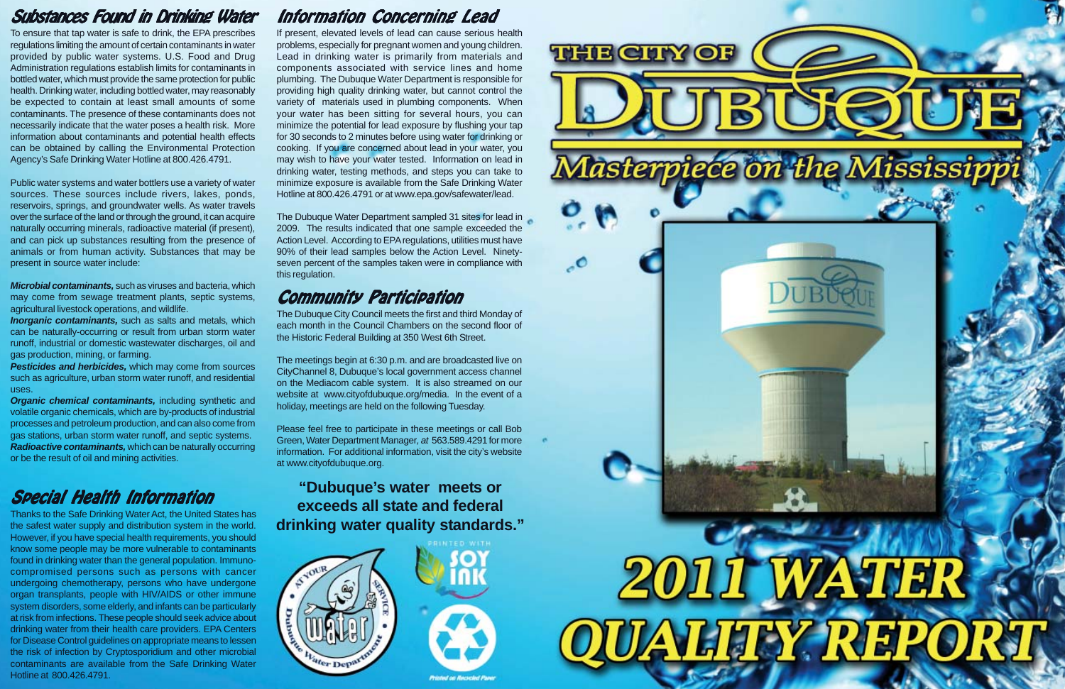# *Community Par Community Participation ticipation*

The Dubuque City Council meets the first and third Monday of each month in the Council Chambers on the second floor of the Historic Federal Building at 350 West 6th Street.

The meetings begin at 6:30 p.m. and are broadcasted live on CityChannel 8, Dubuque's local government access channel on the Mediacom cable system. It is also streamed on our website at www.cityofdubuque.org/media. In the event of a holiday, meetings are held on the following Tuesday.

Please feel free to participate in these meetings or call Bob Green, Water Department Manager*, at* 563.589.4291 for more information. For additional information, visit the city's website at www.cityofdubuque.org.

# *Substances Found in Drinking Water*

To ensure that tap water is safe to drink, the EPA prescribes regulations limiting the amount of certain contaminants in water provided by public water systems. U.S. Food and Drug Administration regulations establish limits for contaminants in bottled water, which must provide the same protection for public health. Drinking water, including bottled water, may reasonably be expected to contain at least small amounts of some contaminants. The presence of these contaminants does not necessarily indicate that the water poses a health risk. More information about contaminants and potential health effects can be obtained by calling the Environmental Protection Agency's Safe Drinking Water Hotline at 800.426.4791.

**Inorganic contaminants, such as salts and metals, which** can be naturally-occurring or result from urban storm water runoff, industrial or domestic wastewater discharges, oil and gas production, mining, or farming.

*Organic chemical contaminants, including synthetic and* volatile organic chemicals, which are by-products of industrial processes and petroleum production, and can also come from gas stations, urban storm water runoff, and septic systems. *Radioactive contaminants,* which can be naturally occurring or be the result of oil and mining activities.

Public water systems and water bottlers use a variety of water sources. These sources include rivers, lakes, ponds, reservoirs, springs, and groundwater wells. As water travels over the surface of the land or through the ground, it can acquire naturally occurring minerals, radioactive material (if present), and can pick up substances resulting from the presence of animals or from human activity. Substances that may be present in source water include:

*Microbial contaminants,* such as viruses and bacteria, which may come from sewage treatment plants, septic systems, agricultural livestock operations, and wildlife.

*Pesticides and herbicides,* which may come from sources such as agriculture, urban storm water runoff, and residential uses.

# *Special Health Infor Special Health Information*

Thanks to the Safe Drinking Water Act, the United States has the safest water supply and distribution system in the world. However, if you have special health requirements, you should know some people may be more vulnerable to contaminants found in drinking water than the general population. Immunocompromised persons such as persons with cancer undergoing chemotherapy, persons who have undergone organ transplants, people with HIV/AIDS or other immune system disorders, some elderly, and infants can be particularly at risk from infections. These people should seek advice about drinking water from their health care providers. EPA Centers for Disease Control guidelines on appropriate means to lessen the risk of infection by Cryptosporidium and other microbial contaminants are available from the Safe Drinking Water Hotline at 800.426.4791.

### **"Dubuque's water meets or exceeds all state and federal drinking water quality standards."**







# *Information Concer mation Concerning Lead ning Lead*

If present, elevated levels of lead can cause serious health problems, especially for pregnant women and young children. Lead in drinking water is primarily from materials and components associated with service lines and home plumbing. The Dubuque Water Department is responsible for providing high quality drinking water, but cannot control the variety of materials used in plumbing components. When your water has been sitting for several hours, you can minimize the potential for lead exposure by flushing your tap for 30 seconds to 2 minutes before using water for drinking or cooking. If you are concerned about lead in your water, you may wish to have your water tested. Information on lead in drinking water, testing methods, and steps you can take to minimize exposure is available from the Safe Drinking Water Hotline at 800.426.4791 or at www.epa.gov/safewater/lead.

The Dubuque Water Department sampled 31 sites for lead in 2009. The results indicated that one sample exceeded the Action Level. According to EPA regulations, utilities must have 90% of their lead samples below the Action Level. Ninetyseven percent of the samples taken were in compliance with this regulation.